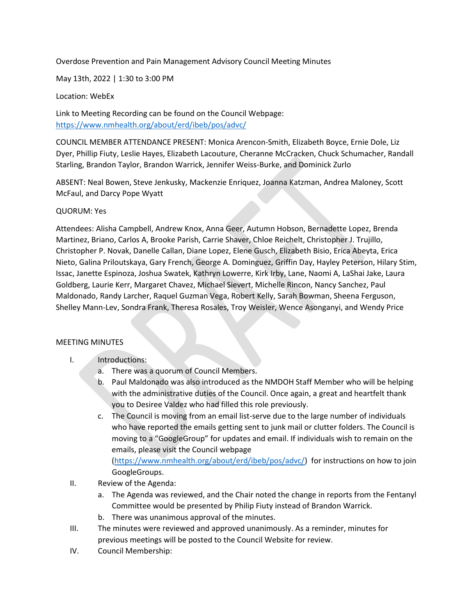Overdose Prevention and Pain Management Advisory Council Meeting Minutes

May 13th, 2022 | 1:30 to 3:00 PM

Location: WebEx

Link to Meeting Recording can be found on the Council Webpage: <https://www.nmhealth.org/about/erd/ibeb/pos/advc/>

COUNCIL MEMBER ATTENDANCE PRESENT: Monica Arencon-Smith, Elizabeth Boyce, Ernie Dole, Liz Dyer, Phillip Fiuty, Leslie Hayes, Elizabeth Lacouture, Cheranne McCracken, Chuck Schumacher, Randall Starling, Brandon Taylor, Brandon Warrick, Jennifer Weiss-Burke, and Dominick Zurlo

ABSENT: Neal Bowen, Steve Jenkusky, Mackenzie Enriquez, Joanna Katzman, Andrea Maloney, Scott McFaul, and Darcy Pope Wyatt

## QUORUM: Yes

Attendees: Alisha Campbell, Andrew Knox, Anna Geer, Autumn Hobson, Bernadette Lopez, Brenda Martinez, Briano, Carlos A, Brooke Parish, Carrie Shaver, Chloe Reichelt, Christopher J. Trujillo, Christopher P. Novak, Danelle Callan, Diane Lopez, Elene Gusch, Elizabeth Bisio, Erica Abeyta, Erica Nieto, Galina Priloutskaya, Gary French, George A. Dominguez, Griffin Day, Hayley Peterson, Hilary Stim, Issac, Janette Espinoza, Joshua Swatek, Kathryn Lowerre, Kirk Irby, Lane, Naomi A, LaShai Jake, Laura Goldberg, Laurie Kerr, Margaret Chavez, Michael Sievert, Michelle Rincon, Nancy Sanchez, Paul Maldonado, Randy Larcher, Raquel Guzman Vega, Robert Kelly, Sarah Bowman, Sheena Ferguson, Shelley Mann-Lev, Sondra Frank, Theresa Rosales, Troy Weisler, Wence Asonganyi, and Wendy Price

## MEETING MINUTES

- I. Introductions:
	- a. There was a quorum of Council Members.
	- b. Paul Maldonado was also introduced as the NMDOH Staff Member who will be helping with the administrative duties of the Council. Once again, a great and heartfelt thank you to Desiree Valdez who had filled this role previously.
	- c. The Council is moving from an email list-serve due to the large number of individuals who have reported the emails getting sent to junk mail or clutter folders. The Council is moving to a "GoogleGroup" for updates and email. If individuals wish to remain on the emails, please visit the Council webpage

[\(https://www.nmhealth.org/about/erd/ibeb/pos/advc/\)](https://www.nmhealth.org/about/erd/ibeb/pos/advc/) for instructions on how to join GoogleGroups.

- II. Review of the Agenda:
	- a. The Agenda was reviewed, and the Chair noted the change in reports from the Fentanyl Committee would be presented by Philip Fiuty instead of Brandon Warrick.
	- b. There was unanimous approval of the minutes.
- III. The minutes were reviewed and approved unanimously. As a reminder, minutes for previous meetings will be posted to the Council Website for review.
- IV. Council Membership: